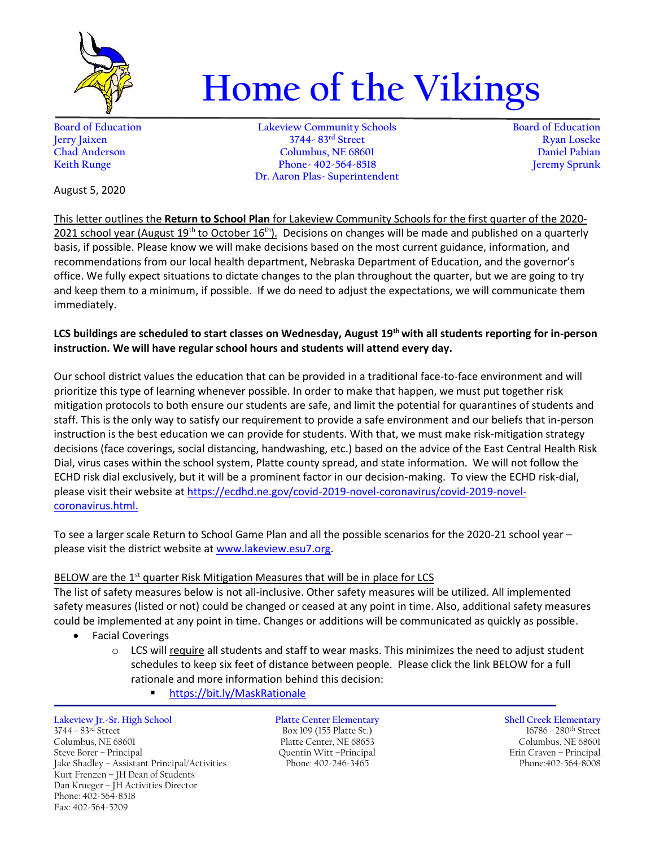

# **Home of the Vikings**

**Board of Education Lakeview Community Schools Board of Education Jerry Jaixen 3744- 83rd Street Ryan Loseke Chad Anderson Columbus, NE 68601 Daniel Pabian Keith Runge Phone- 402-564-8518 Dr. Aaron Plas- Superintendent**

August 5, 2020

This letter outlines the **Return to School Plan** for Lakeview Community Schools for the first quarter of the 2020- 2021 school year (August 19<sup>th</sup> to October 16<sup>th</sup>). Decisions on changes will be made and published on a quarterly basis, if possible. Please know we will make decisions based on the most current guidance, information, and recommendations from our local health department, Nebraska Department of Education, and the governor's office. We fully expect situations to dictate changes to the plan throughout the quarter, but we are going to try and keep them to a minimum, if possible. If we do need to adjust the expectations, we will communicate them immediately.

# **LCS buildings are scheduled to start classes on Wednesday, August 19th with all students reporting for in-person instruction. We will have regular school hours and students will attend every day.**

Our school district values the education that can be provided in a traditional face-to-face environment and will prioritize this type of learning whenever possible. In order to make that happen, we must put together risk mitigation protocols to both ensure our students are safe, and limit the potential for quarantines of students and staff. This is the only way to satisfy our requirement to provide a safe environment and our beliefs that in-person instruction is the best education we can provide for students. With that, we must make risk-mitigation strategy decisions (face coverings, social distancing, handwashing, etc.) based on the advice of the East Central Health Risk Dial, virus cases within the school system, Platte county spread, and state information. We will not follow the ECHD risk dial exclusively, but it will be a prominent factor in our decision-making. To view the ECHD risk-dial, please visit their website at [https://ecdhd.ne.gov/covid-2019-novel-coronavirus/covid-2019-novel](https://ecdhd.ne.gov/covid-2019-novel-coronavirus/covid-2019-novel-coronavirus.html)[coronavirus.html.](https://ecdhd.ne.gov/covid-2019-novel-coronavirus/covid-2019-novel-coronavirus.html)

To see a larger scale Return to School Game Plan and all the possible scenarios for the 2020-21 school year – please visit the district website at [www.lakeview.esu7.org.](http://www.lakeview.esu7.org/)

# BELOW are the 1<sup>st</sup> quarter Risk Mitigation Measures that will be in place for LCS

The list of safety measures below is not all-inclusive. Other safety measures will be utilized. All implemented safety measures (listed or not) could be changed or ceased at any point in time. Also, additional safety measures could be implemented at any point in time. Changes or additions will be communicated as quickly as possible.

- Facial Coverings
	- $\circ$  LCS will require all students and staff to wear masks. This minimizes the need to adjust student schedules to keep six feet of distance between people. Please click the link BELOW for a full rationale and more information behind this decision:
		- <https://bit.ly/MaskRationale>

**Lakeview Jr.-Sr. High School Platte Center Elementary Shell Creek Elementary** 3744 - 83rd Street Box 109 (155 Platte St.) 16786 - 280th Street Columbus, NE 68601 Platte Center, NE 68653 Columbus, NE 68601 Jake Shadley - Assistant Principal/Activities Kurt Frenzen – JH Dean of Students Dan Krueger - JH Activities Director Phone: 402-564-8518 Fax: 402-564-5209

Steve Borer – Principal Quentin Witt –Principal Erin Craven – Principal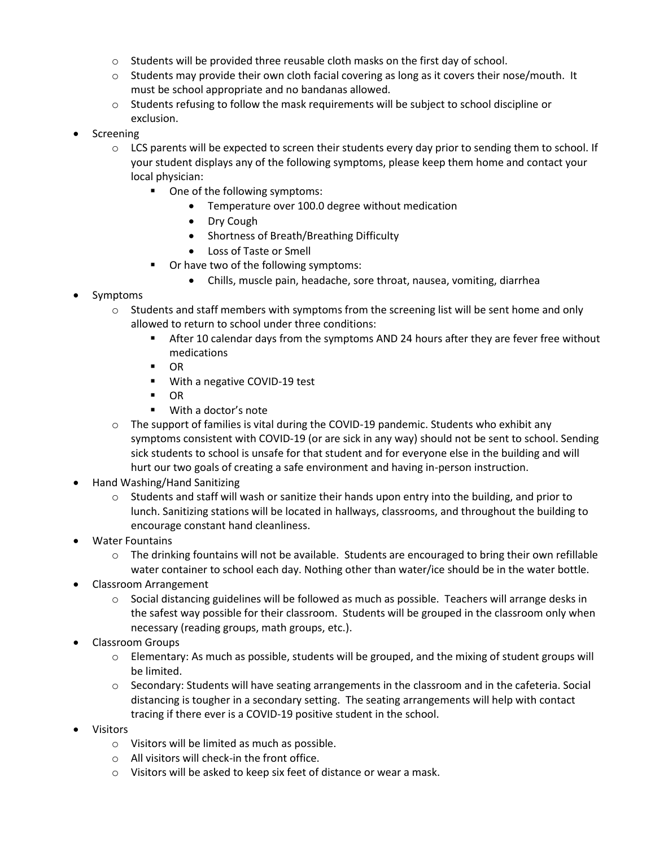- $\circ$  Students will be provided three reusable cloth masks on the first day of school.
- $\circ$  Students may provide their own cloth facial covering as long as it covers their nose/mouth. It must be school appropriate and no bandanas allowed.
- o Students refusing to follow the mask requirements will be subject to school discipline or exclusion.
- Screening
	- $\circ$  LCS parents will be expected to screen their students every day prior to sending them to school. If your student displays any of the following symptoms, please keep them home and contact your local physician:
		- One of the following symptoms:
			- Temperature over 100.0 degree without medication
			- Dry Cough
			- Shortness of Breath/Breathing Difficulty
			- Loss of Taste or Smell
		- Or have two of the following symptoms:
			- Chills, muscle pain, headache, sore throat, nausea, vomiting, diarrhea
- Symptoms
	- $\circ$  Students and staff members with symptoms from the screening list will be sent home and only allowed to return to school under three conditions:
		- After 10 calendar days from the symptoms AND 24 hours after they are fever free without medications
		- $\blacksquare$  OR
		- **With a negative COVID-19 test**
		- $\blacksquare$  OR
		- With a doctor's note
	- $\circ$  The support of families is vital during the COVID-19 pandemic. Students who exhibit any symptoms consistent with COVID-19 (or are sick in any way) should not be sent to school. Sending sick students to school is unsafe for that student and for everyone else in the building and will hurt our two goals of creating a safe environment and having in-person instruction.
- Hand Washing/Hand Sanitizing
	- $\circ$  Students and staff will wash or sanitize their hands upon entry into the building, and prior to lunch. Sanitizing stations will be located in hallways, classrooms, and throughout the building to encourage constant hand cleanliness.
- Water Fountains
	- $\circ$  The drinking fountains will not be available. Students are encouraged to bring their own refillable water container to school each day. Nothing other than water/ice should be in the water bottle.
- Classroom Arrangement
	- $\circ$  Social distancing guidelines will be followed as much as possible. Teachers will arrange desks in the safest way possible for their classroom. Students will be grouped in the classroom only when necessary (reading groups, math groups, etc.).
- Classroom Groups
	- o Elementary: As much as possible, students will be grouped, and the mixing of student groups will be limited.
	- $\circ$  Secondary: Students will have seating arrangements in the classroom and in the cafeteria. Social distancing is tougher in a secondary setting. The seating arrangements will help with contact tracing if there ever is a COVID-19 positive student in the school.
- Visitors
	- o Visitors will be limited as much as possible.
	- o All visitors will check-in the front office.
	- o Visitors will be asked to keep six feet of distance or wear a mask.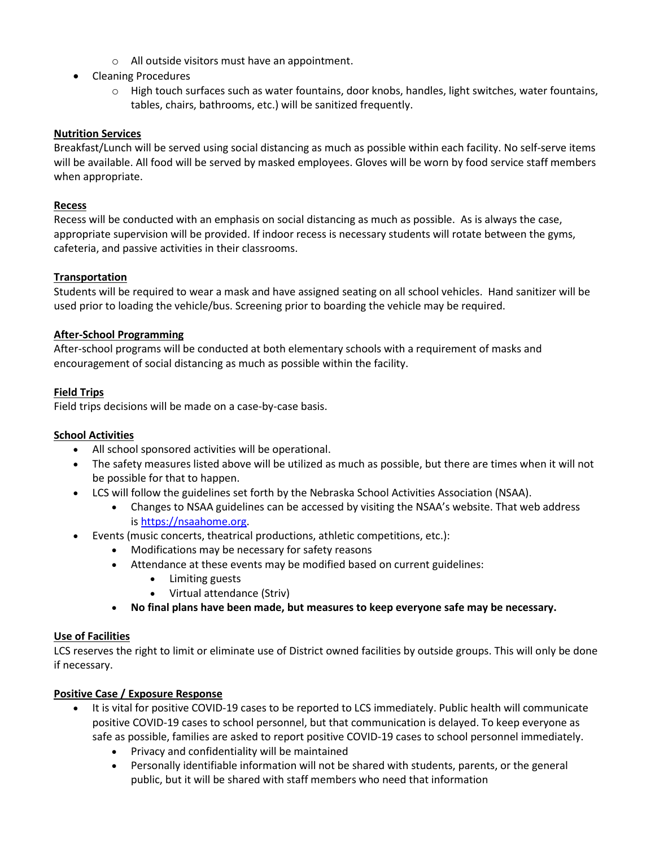- o All outside visitors must have an appointment.
- Cleaning Procedures
	- o High touch surfaces such as water fountains, door knobs, handles, light switches, water fountains, tables, chairs, bathrooms, etc.) will be sanitized frequently.

#### **Nutrition Services**

Breakfast/Lunch will be served using social distancing as much as possible within each facility. No self-serve items will be available. All food will be served by masked employees. Gloves will be worn by food service staff members when appropriate.

#### **Recess**

Recess will be conducted with an emphasis on social distancing as much as possible. As is always the case, appropriate supervision will be provided. If indoor recess is necessary students will rotate between the gyms, cafeteria, and passive activities in their classrooms.

#### **Transportation**

Students will be required to wear a mask and have assigned seating on all school vehicles. Hand sanitizer will be used prior to loading the vehicle/bus. Screening prior to boarding the vehicle may be required.

#### **After-School Programming**

After-school programs will be conducted at both elementary schools with a requirement of masks and encouragement of social distancing as much as possible within the facility.

#### **Field Trips**

Field trips decisions will be made on a case-by-case basis.

#### **School Activities**

- All school sponsored activities will be operational.
- The safety measures listed above will be utilized as much as possible, but there are times when it will not be possible for that to happen.
- LCS will follow the guidelines set forth by the Nebraska School Activities Association (NSAA).
	- Changes to NSAA guidelines can be accessed by visiting the NSAA's website. That web address is [https://nsaahome.org.](https://www.google.com/url?q=https://www.google.com/url?q%3Dhttps://nsaahome.org%26amp;sa%3DD%26amp;ust%3D1594747538564000%26amp;usg%3DAOvVaw3Fpuqgy_DDmYQsKX1hCMLA&sa=D&ust=1594747538611000&usg=AFQjCNFvzf7UZE0gxPwryEqtJdNh8EhqWA)
- Events (music concerts, theatrical productions, athletic competitions, etc.):
	- Modifications may be necessary for safety reasons
	- Attendance at these events may be modified based on current guidelines:
		- Limiting guests
		- Virtual attendance (Striv)
	- **No final plans have been made, but measures to keep everyone safe may be necessary.**

#### **Use of Facilities**

LCS reserves the right to limit or eliminate use of District owned facilities by outside groups. This will only be done if necessary.

#### **Positive Case / Exposure Response**

- It is vital for positive COVID-19 cases to be reported to LCS immediately. Public health will communicate positive COVID-19 cases to school personnel, but that communication is delayed. To keep everyone as safe as possible, families are asked to report positive COVID-19 cases to school personnel immediately.
	- Privacy and confidentiality will be maintained
	- Personally identifiable information will not be shared with students, parents, or the general public, but it will be shared with staff members who need that information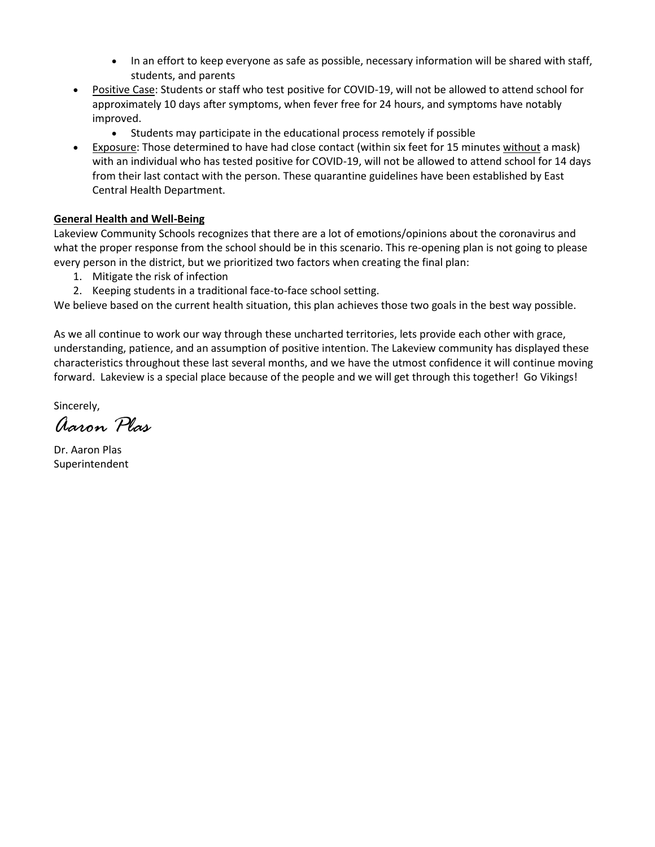- In an effort to keep everyone as safe as possible, necessary information will be shared with staff, students, and parents
- Positive Case: Students or staff who test positive for COVID-19, will not be allowed to attend school for approximately 10 days after symptoms, when fever free for 24 hours, and symptoms have notably improved.
	- Students may participate in the educational process remotely if possible
- Exposure: Those determined to have had close contact (within six feet for 15 minutes without a mask) with an individual who has tested positive for COVID-19, will not be allowed to attend school for 14 days from their last contact with the person. These quarantine guidelines have been established by East Central Health Department.

# **General Health and Well-Being**

Lakeview Community Schools recognizes that there are a lot of emotions/opinions about the coronavirus and what the proper response from the school should be in this scenario. This re-opening plan is not going to please every person in the district, but we prioritized two factors when creating the final plan:

- 1. Mitigate the risk of infection
- 2. Keeping students in a traditional face-to-face school setting.

We believe based on the current health situation, this plan achieves those two goals in the best way possible.

As we all continue to work our way through these uncharted territories, lets provide each other with grace, understanding, patience, and an assumption of positive intention. The Lakeview community has displayed these characteristics throughout these last several months, and we have the utmost confidence it will continue moving forward. Lakeview is a special place because of the people and we will get through this together! Go Vikings!

Sincerely,

*Aaron Plas*

Dr. Aaron Plas Superintendent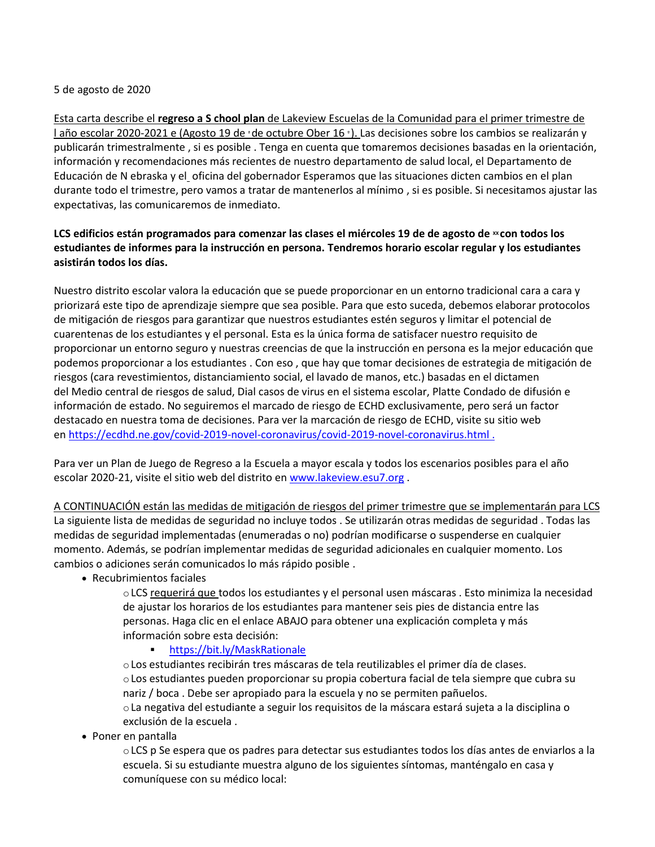#### 5 de agosto de 2020

Esta carta describe el **regreso a S chool plan** de Lakeview Escuelas de la Comunidad para el primer trimestre de l año escolar 2020-2021 e (Agosto 19 de <sup>ª</sup>de octubre Ober 16 <sup>º</sup> ). Las decisiones sobre los cambios se realizarán y publicarán trimestralmente , si es posible . Tenga en cuenta que tomaremos decisiones basadas en la orientación, información y recomendaciones más recientes de nuestro departamento de salud local, el Departamento de Educación de N ebraska y el oficina del gobernador Esperamos que las situaciones dicten cambios en el plan durante todo el trimestre, pero vamos a tratar de mantenerlos al mínimo , si es posible. Si necesitamos ajustar las expectativas, las comunicaremos de inmediato.

# **LCS** edificios están programados para comenzar las clases el miércoles 19 de de agosto de <sup>xx</sup> con todos los **estudiantes de informes para la instrucción en persona. Tendremos horario escolar regular y los estudiantes asistirán todos los días.**

Nuestro distrito escolar valora la educación que se puede proporcionar en un entorno tradicional cara a cara y priorizará este tipo de aprendizaje siempre que sea posible. Para que esto suceda, debemos elaborar protocolos de mitigación de riesgos para garantizar que nuestros estudiantes estén seguros y limitar el potencial de cuarentenas de los estudiantes y el personal. Esta es la única forma de satisfacer nuestro requisito de proporcionar un entorno seguro y nuestras creencias de que la instrucción en persona es la mejor educación que podemos proporcionar a los estudiantes . Con eso , que hay que tomar decisiones de estrategia de mitigación de riesgos (cara revestimientos, distanciamiento social, el lavado de manos, etc.) basadas en el dictamen del Medio central de riesgos de salud, Dial casos de virus en el sistema escolar, Platte Condado de difusión e información de estado. No seguiremos el marcado de riesgo de ECHD exclusivamente, pero será un factor destacado en nuestra toma de decisiones. Para ver la marcación de riesgo de ECHD, visite su sitio web en [https://ecdhd.ne.gov/covid-2019-novel-coronavirus/covid-2019-novel-coronavirus.html](https://translate.google.com/translate?hl=en&prev=_t&sl=en&tl=es&u=https://ecdhd.ne.gov/covid-2019-novel-coronavirus/covid-2019-novel-coronavirus.html) .

Para ver un Plan de Juego de Regreso a la Escuela a mayor escala y todos los escenarios posibles para el año escolar 2020-21, visite el sitio web del distrito en [www.lakeview.esu7.org](https://translate.google.com/translate?hl=en&prev=_t&sl=en&tl=es&u=http://www.lakeview.esu7.org) .

A CONTINUACIÓN están las medidas de mitigación de riesgos del primer trimestre que se implementarán para LCS La siguiente lista de medidas de seguridad no incluye todos . Se utilizarán otras medidas de seguridad . Todas las medidas de seguridad implementadas (enumeradas o no) podrían modificarse o suspenderse en cualquier momento. Además, se podrían implementar medidas de seguridad adicionales en cualquier momento. Los cambios o adiciones serán comunicados lo más rápido posible .

#### Recubrimientos faciales

oLCS requerirá que todos los estudiantes y el personal usen máscaras . Esto minimiza la necesidad de ajustar los horarios de los estudiantes para mantener seis pies de distancia entre las personas. Haga clic en el enlace ABAJO para obtener una explicación completa y más información sobre esta decisión:

#### <https://bit.ly/MaskRationale>

oLos estudiantes recibirán tres máscaras de tela reutilizables el primer día de clases. oLos estudiantes pueden proporcionar su propia cobertura facial de tela siempre que cubra su nariz / boca . Debe ser apropiado para la escuela y no se permiten pañuelos. oLa negativa del estudiante a seguir los requisitos de la máscara estará sujeta a la disciplina o exclusión de la escuela .

Poner en pantalla

oLCS p Se espera que os padres para detectar sus estudiantes todos los días antes de enviarlos a la escuela. Si su estudiante muestra alguno de los siguientes síntomas, manténgalo en casa y comuníquese con su médico local: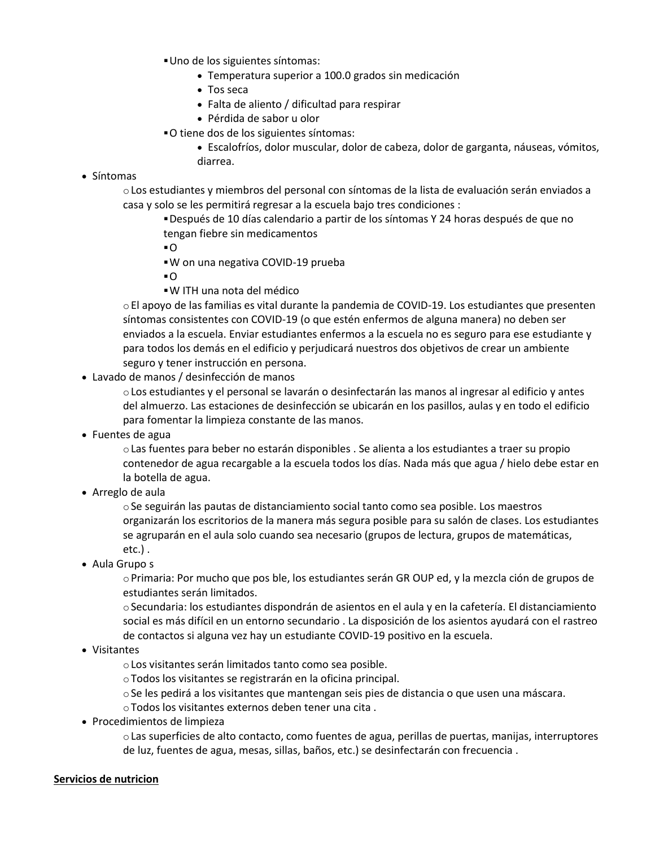Uno de los siguientes síntomas:

- Temperatura superior a 100.0 grados sin medicación
- Tos seca
- Falta de aliento / dificultad para respirar
- Pérdida de sabor u olor
- O tiene dos de los siguientes síntomas:
	- Escalofríos, dolor muscular, dolor de cabeza, dolor de garganta, náuseas, vómitos, diarrea.

#### Síntomas

- oLos estudiantes y miembros del personal con síntomas de la lista de evaluación serán enviados a casa y solo se les permitirá regresar a la escuela bajo tres condiciones :
	- Después de 10 días calendario a partir de los síntomas Y 24 horas después de que no tengan fiebre sin medicamentos
	- O
	- W on una negativa COVID-19 prueba
	- O
	- W ITH una nota del médico

oEl apoyo de las familias es vital durante la pandemia de COVID-19. Los estudiantes que presenten síntomas consistentes con COVID-19 (o que estén enfermos de alguna manera) no deben ser enviados a la escuela. Enviar estudiantes enfermos a la escuela no es seguro para ese estudiante y para todos los demás en el edificio y perjudicará nuestros dos objetivos de crear un ambiente seguro y tener instrucción en persona.

Lavado de manos / desinfección de manos

oLos estudiantes y el personal se lavarán o desinfectarán las manos al ingresar al edificio y antes del almuerzo. Las estaciones de desinfección se ubicarán en los pasillos, aulas y en todo el edificio para fomentar la limpieza constante de las manos.

Fuentes de agua

oLas fuentes para beber no estarán disponibles . Se alienta a los estudiantes a traer su propio contenedor de agua recargable a la escuela todos los días. Nada más que agua / hielo debe estar en la botella de agua.

Arreglo de aula

oSe seguirán las pautas de distanciamiento social tanto como sea posible. Los maestros organizarán los escritorios de la manera más segura posible para su salón de clases. Los estudiantes se agruparán en el aula solo cuando sea necesario (grupos de lectura, grupos de matemáticas, etc.) .

Aula Grupo s

oPrimaria: Por mucho que pos ble, los estudiantes serán GR OUP ed, y la mezcla ción de grupos de estudiantes serán limitados.

oSecundaria: los estudiantes dispondrán de asientos en el aula y en la cafetería. El distanciamiento social es más difícil en un entorno secundario . La disposición de los asientos ayudará con el rastreo de contactos si alguna vez hay un estudiante COVID-19 positivo en la escuela.

Visitantes

oLos visitantes serán limitados tanto como sea posible.

oTodos los visitantes se registrarán en la oficina principal.

oSe les pedirá a los visitantes que mantengan seis pies de distancia o que usen una máscara.

oTodos los visitantes externos deben tener una cita .

Procedimientos de limpieza

oLas superficies de alto contacto, como fuentes de agua, perillas de puertas, manijas, interruptores de luz, fuentes de agua, mesas, sillas, baños, etc.) se desinfectarán con frecuencia .

#### **Servicios de nutricion**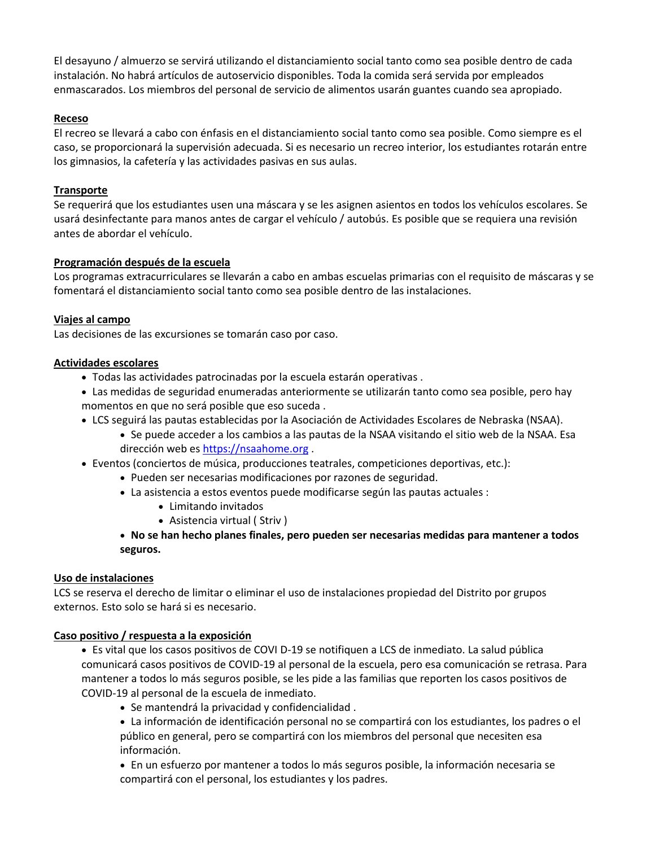El desayuno / almuerzo se servirá utilizando el distanciamiento social tanto como sea posible dentro de cada instalación. No habrá artículos de autoservicio disponibles. Toda la comida será servida por empleados enmascarados. Los miembros del personal de servicio de alimentos usarán guantes cuando sea apropiado.

### **Receso**

El recreo se llevará a cabo con énfasis en el distanciamiento social tanto como sea posible. Como siempre es el caso, se proporcionará la supervisión adecuada. Si es necesario un recreo interior, los estudiantes rotarán entre los gimnasios, la cafetería y las actividades pasivas en sus aulas.

## **Transporte**

Se requerirá que los estudiantes usen una máscara y se les asignen asientos en todos los vehículos escolares. Se usará desinfectante para manos antes de cargar el vehículo / autobús. Es posible que se requiera una revisión antes de abordar el vehículo.

## **Programación después de la escuela**

Los programas extracurriculares se llevarán a cabo en ambas escuelas primarias con el requisito de máscaras y se fomentará el distanciamiento social tanto como sea posible dentro de las instalaciones.

## **Viajes al campo**

Las decisiones de las excursiones se tomarán caso por caso.

## **Actividades escolares**

- Todas las actividades patrocinadas por la escuela estarán operativas .
- Las medidas de seguridad enumeradas anteriormente se utilizarán tanto como sea posible, pero hay momentos en que no será posible que eso suceda .
- LCS seguirá las pautas establecidas por la Asociación de Actividades Escolares de Nebraska (NSAA).
	- Se puede acceder a los cambios a las pautas de la NSAA visitando el sitio web de la NSAA. Esa dirección web es [https://nsaahome.org](https://translate.google.com/translate?hl=en&prev=_t&sl=en&tl=es&u=https://www.google.com/url%3Fq%3Dhttps://www.google.com/url%3Fq%253Dhttps://nsaahome.org%2526amp%3Bsa%253DD%2526amp%3Bust%253D1594747538564000%2526amp%3Busg%253DAOvVaw3Fpuqgy_DDmYQsKX1hCMLA%26sa%3DD%26ust%3D1594747538611000%26usg%3DAFQjCNFvzf7UZE0gxPwryEqtJdNh8EhqWA) .
- Eventos (conciertos de música, producciones teatrales, competiciones deportivas, etc.):
	- Pueden ser necesarias modificaciones por razones de seguridad.
	- La asistencia a estos eventos puede modificarse según las pautas actuales :
		- Limitando invitados
		- Asistencia virtual ( Striv )
	- **No se han hecho planes finales, pero pueden ser necesarias medidas para mantener a todos seguros.**

#### **Uso de instalaciones**

LCS se reserva el derecho de limitar o eliminar el uso de instalaciones propiedad del Distrito por grupos externos. Esto solo se hará si es necesario.

#### **Caso positivo / respuesta a la exposición**

 Es vital que los casos positivos de COVI D-19 se notifiquen a LCS de inmediato. La salud pública comunicará casos positivos de COVID-19 al personal de la escuela, pero esa comunicación se retrasa. Para mantener a todos lo más seguros posible, se les pide a las familias que reporten los casos positivos de COVID-19 al personal de la escuela de inmediato.

- Se mantendrá la privacidad y confidencialidad .
- La información de identificación personal no se compartirá con los estudiantes, los padres o el público en general, pero se compartirá con los miembros del personal que necesiten esa información.

 En un esfuerzo por mantener a todos lo más seguros posible, la información necesaria se compartirá con el personal, los estudiantes y los padres.